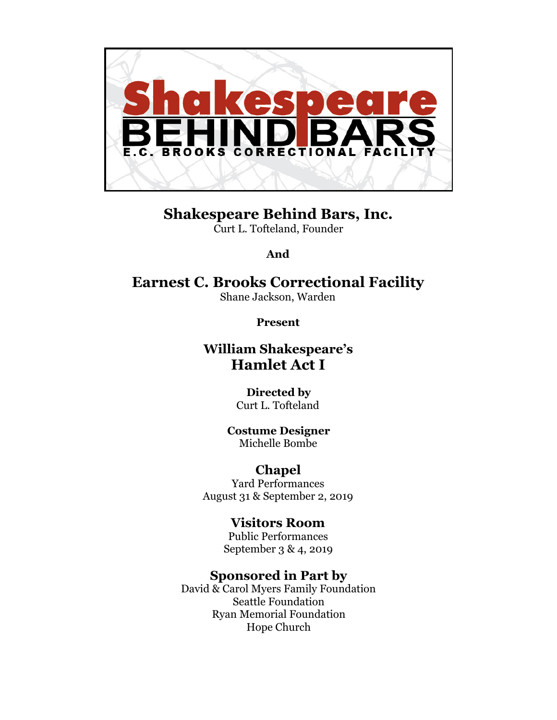

**Shakespeare Behind Bars, Inc.**  Curt L. Tofteland, Founder

**And** 

# **Earnest C. Brooks Correctional Facility**

Shane Jackson, Warden

**Present** 

## **William Shakespeare's Hamlet Act I**

#### **Directed by**  Curt L. Tofteland

**Costume Designer**  Michelle Bombe

## **Chapel**

Yard Performances August 31 & September 2, 2019

## **Visitors Room**

Public Performances September 3 & 4, 2019

## **Sponsored in Part by**

David & Carol Myers Family Foundation Seattle Foundation Ryan Memorial Foundation Hope Church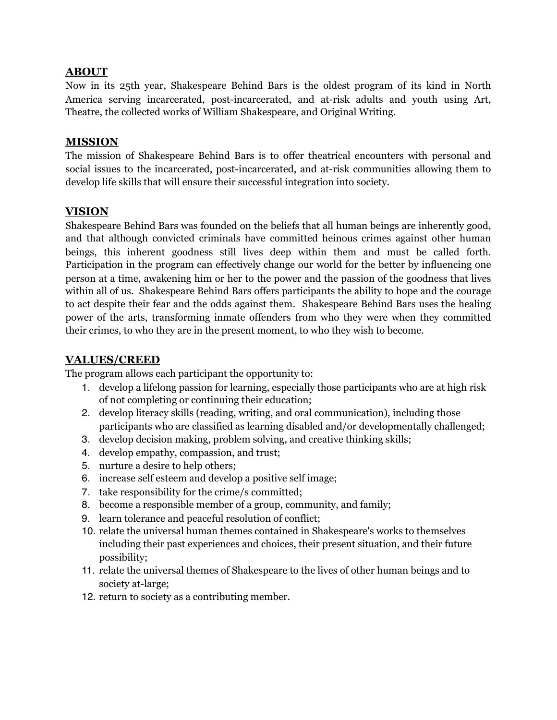#### **ABOUT**

Now in its 25th year, Shakespeare Behind Bars is the oldest program of its kind in North America serving incarcerated, post-incarcerated, and at-risk adults and youth using Art, Theatre, the collected works of William Shakespeare, and Original Writing.

#### **MISSION**

The mission of Shakespeare Behind Bars is to offer theatrical encounters with personal and social issues to the incarcerated, post-incarcerated, and at-risk communities allowing them to develop life skills that will ensure their successful integration into society.

#### **VISION**

Shakespeare Behind Bars was founded on the beliefs that all human beings are inherently good, and that although convicted criminals have committed heinous crimes against other human beings, this inherent goodness still lives deep within them and must be called forth. Participation in the program can effectively change our world for the better by influencing one person at a time, awakening him or her to the power and the passion of the goodness that lives within all of us. Shakespeare Behind Bars offers participants the ability to hope and the courage to act despite their fear and the odds against them. Shakespeare Behind Bars uses the healing power of the arts, transforming inmate offenders from who they were when they committed their crimes, to who they are in the present moment, to who they wish to become.

#### **VALUES/CREED**

The program allows each participant the opportunity to:

- 1. develop a lifelong passion for learning, especially those participants who are at high risk of not completing or continuing their education;
- 2. develop literacy skills (reading, writing, and oral communication), including those participants who are classified as learning disabled and/or developmentally challenged;
- 3. develop decision making, problem solving, and creative thinking skills;
- 4. develop empathy, compassion, and trust;
- 5. nurture a desire to help others;
- 6. increase self esteem and develop a positive self image;
- 7. take responsibility for the crime/s committed;
- 8. become a responsible member of a group, community, and family;
- 9. learn tolerance and peaceful resolution of conflict;
- 10. relate the universal human themes contained in Shakespeare's works to themselves including their past experiences and choices, their present situation, and their future possibility;
- 11. relate the universal themes of Shakespeare to the lives of other human beings and to society at-large;
- 12. return to society as a contributing member.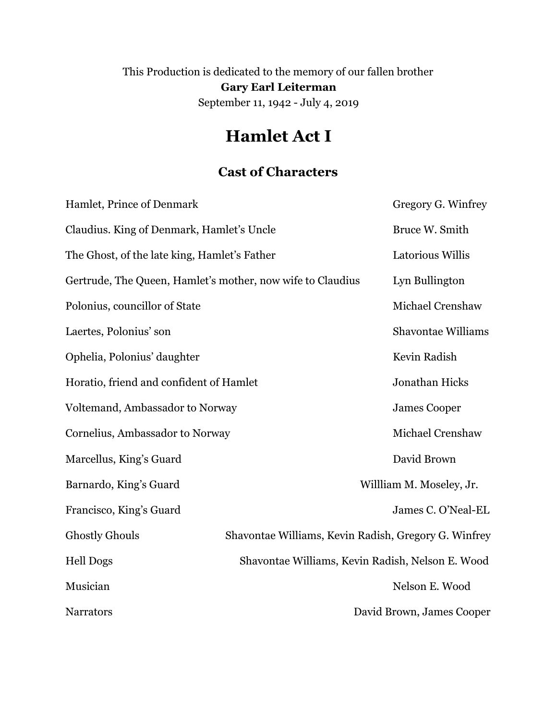This Production is dedicated to the memory of our fallen brother **Gary Earl Leiterman**  September 11, 1942 - July 4, 2019

# **Hamlet Act I**

## **Cast of Characters**

| Hamlet, Prince of Denmark                                  |                                                      | Gregory G. Winfrey        |
|------------------------------------------------------------|------------------------------------------------------|---------------------------|
| Claudius. King of Denmark, Hamlet's Uncle                  |                                                      | Bruce W. Smith            |
| The Ghost, of the late king, Hamlet's Father               |                                                      | Latorious Willis          |
| Gertrude, The Queen, Hamlet's mother, now wife to Claudius |                                                      | Lyn Bullington            |
| Polonius, councillor of State                              |                                                      | Michael Crenshaw          |
| Laertes, Polonius' son                                     |                                                      | <b>Shavontae Williams</b> |
| Ophelia, Polonius' daughter                                |                                                      | Kevin Radish              |
| Horatio, friend and confident of Hamlet                    |                                                      | Jonathan Hicks            |
| Voltemand, Ambassador to Norway                            |                                                      | <b>James Cooper</b>       |
| Cornelius, Ambassador to Norway                            |                                                      | Michael Crenshaw          |
| Marcellus, King's Guard                                    |                                                      | David Brown               |
| Barnardo, King's Guard                                     |                                                      | Willliam M. Moseley, Jr.  |
| Francisco, King's Guard                                    |                                                      | James C. O'Neal-EL        |
| <b>Ghostly Ghouls</b>                                      | Shavontae Williams, Kevin Radish, Gregory G. Winfrey |                           |
| <b>Hell Dogs</b>                                           | Shavontae Williams, Kevin Radish, Nelson E. Wood     |                           |
| Musician                                                   |                                                      | Nelson E. Wood            |
| <b>Narrators</b>                                           |                                                      | David Brown, James Cooper |